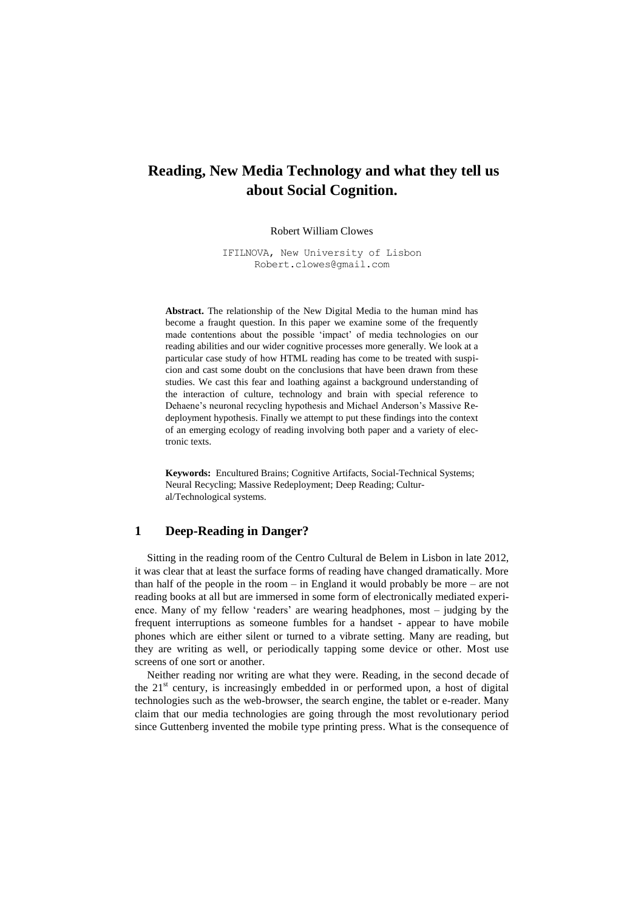# **Reading, New Media Technology and what they tell us about Social Cognition.**

#### Robert William Clowes

IFILNOVA, New University of Lisbon [Robert.clowes@gmail.com](mailto:Robert.clowes@gmail.com)

**Abstract.** The relationship of the New Digital Media to the human mind has become a fraught question. In this paper we examine some of the frequently made contentions about the possible 'impact' of media technologies on our reading abilities and our wider cognitive processes more generally. We look at a particular case study of how HTML reading has come to be treated with suspicion and cast some doubt on the conclusions that have been drawn from these studies. We cast this fear and loathing against a background understanding of the interaction of culture, technology and brain with special reference to Dehaene's neuronal recycling hypothesis and Michael Anderson's Massive Redeployment hypothesis. Finally we attempt to put these findings into the context of an emerging ecology of reading involving both paper and a variety of electronic texts.

**Keywords:** Encultured Brains; Cognitive Artifacts, Social-Technical Systems; Neural Recycling; Massive Redeployment; Deep Reading; Cultural/Technological systems.

#### **1 Deep-Reading in Danger?**

Sitting in the reading room of the Centro Cultural de Belem in Lisbon in late 2012, it was clear that at least the surface forms of reading have changed dramatically. More than half of the people in the room – in England it would probably be more – are not reading books at all but are immersed in some form of electronically mediated experience. Many of my fellow 'readers' are wearing headphones, most – judging by the frequent interruptions as someone fumbles for a handset - appear to have mobile phones which are either silent or turned to a vibrate setting. Many are reading, but they are writing as well, or periodically tapping some device or other. Most use screens of one sort or another.

Neither reading nor writing are what they were. Reading, in the second decade of the  $21<sup>st</sup>$  century, is increasingly embedded in or performed upon, a host of digital technologies such as the web-browser, the search engine, the tablet or e-reader. Many claim that our media technologies are going through the most revolutionary period since Guttenberg invented the mobile type printing press. What is the consequence of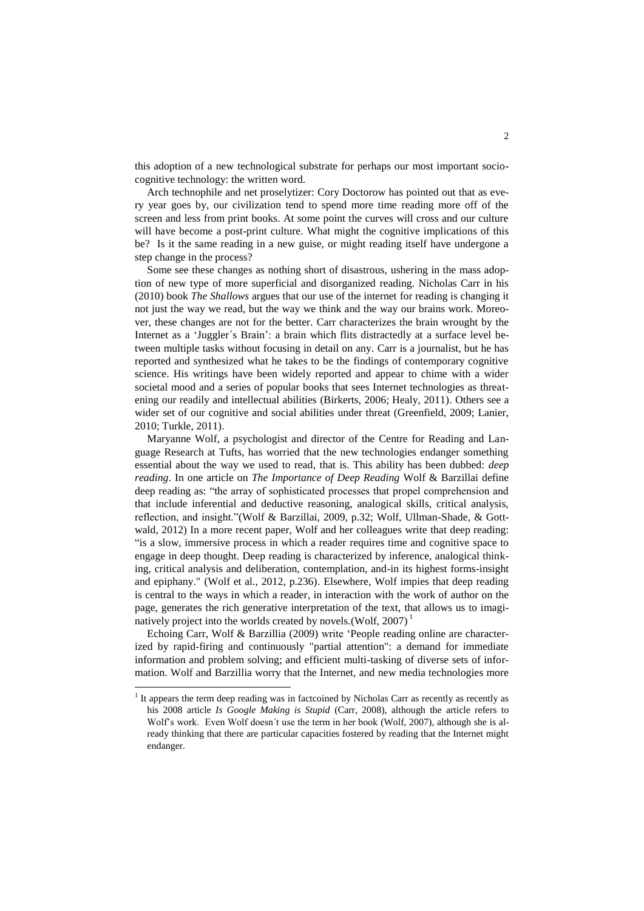this adoption of a new technological substrate for perhaps our most important sociocognitive technology: the written word.

Arch technophile and net proselytizer: Cory Doctorow has pointed out that as every year goes by, our civilization tend to spend more time reading more off of the screen and less from print books. At some point the curves will cross and our culture will have become a post-print culture. What might the cognitive implications of this be? Is it the same reading in a new guise, or might reading itself have undergone a step change in the process?

Some see these changes as nothing short of disastrous, ushering in the mass adoption of new type of more superficial and disorganized reading. Nicholas Carr in his (2010) book *The Shallows* argues that our use of the internet for reading is changing it not just the way we read, but the way we think and the way our brains work. Moreover, these changes are not for the better. Carr characterizes the brain wrought by the Internet as a 'Juggler´s Brain': a brain which flits distractedly at a surface level between multiple tasks without focusing in detail on any. Carr is a journalist, but he has reported and synthesized what he takes to be the findings of contemporary cognitive science. His writings have been widely reported and appear to chime with a wider societal mood and a series of popular books that sees Internet technologies as threatening our readily and intellectual abilities (Birkerts, 2006; Healy, 2011). Others see a wider set of our cognitive and social abilities under threat (Greenfield, 2009; Lanier, 2010; Turkle, 2011).

Maryanne Wolf, a psychologist and director of the Centre for Reading and Language Research at Tufts, has worried that the new technologies endanger something essential about the way we used to read, that is. This ability has been dubbed: *deep reading*. In one article on *The Importance of Deep Reading* Wolf & Barzillai define deep reading as: "the array of sophisticated processes that propel comprehension and that include inferential and deductive reasoning, analogical skills, critical analysis, reflection, and insight."(Wolf & Barzillai, 2009, p.32; Wolf, Ullman-Shade, & Gottwald, 2012) In a more recent paper, Wolf and her colleagues write that deep reading: "is a slow, immersive process in which a reader requires time and cognitive space to engage in deep thought. Deep reading is characterized by inference, analogical thinking, critical analysis and deliberation, contemplation, and-in its highest forms-insight and epiphany." (Wolf et al., 2012, p.236). Elsewhere, Wolf impies that deep reading is central to the ways in which a reader, in interaction with the work of author on the page, generates the rich generative interpretation of the text, that allows us to imaginatively project into the worlds created by novels. (Wolf, 2007)<sup>1</sup>

Echoing Carr, Wolf & Barzillia (2009) write 'People reading online are characterized by rapid-firing and continuously "partial attention": a demand for immediate information and problem solving; and efficient multi-tasking of diverse sets of information. Wolf and Barzillia worry that the Internet, and new media technologies more

<sup>1</sup> It appears the term deep reading was in factcoined by Nicholas Carr as recently as recently as his 2008 article *Is Google Making is Stupid* (Carr, 2008), although the article refers to Wolf's work. Even Wolf doesn´t use the term in her book (Wolf, 2007), although she is already thinking that there are particular capacities fostered by reading that the Internet might endanger.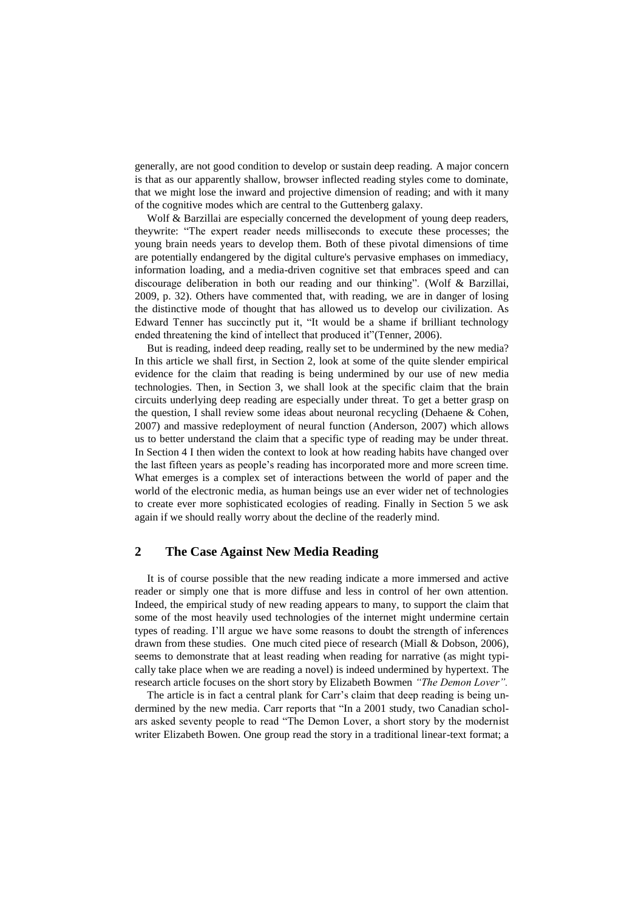generally, are not good condition to develop or sustain deep reading. A major concern is that as our apparently shallow, browser inflected reading styles come to dominate, that we might lose the inward and projective dimension of reading; and with it many of the cognitive modes which are central to the Guttenberg galaxy.

Wolf & Barzillai are especially concerned the development of young deep readers, theywrite: "The expert reader needs milliseconds to execute these processes; the young brain needs years to develop them. Both of these pivotal dimensions of time are potentially endangered by the digital culture's pervasive emphases on immediacy, information loading, and a media-driven cognitive set that embraces speed and can discourage deliberation in both our reading and our thinking". (Wolf & Barzillai, 2009, p. 32). Others have commented that, with reading, we are in danger of losing the distinctive mode of thought that has allowed us to develop our civilization. As Edward Tenner has succinctly put it, "It would be a shame if brilliant technology ended threatening the kind of intellect that produced it"(Tenner, 2006).

But is reading, indeed deep reading, really set to be undermined by the new media? In this article we shall first, in Section 2, look at some of the quite slender empirical evidence for the claim that reading is being undermined by our use of new media technologies. Then, in Section 3, we shall look at the specific claim that the brain circuits underlying deep reading are especially under threat. To get a better grasp on the question, I shall review some ideas about neuronal recycling (Dehaene & Cohen, 2007) and massive redeployment of neural function (Anderson, 2007) which allows us to better understand the claim that a specific type of reading may be under threat. In Section 4 I then widen the context to look at how reading habits have changed over the last fifteen years as people's reading has incorporated more and more screen time. What emerges is a complex set of interactions between the world of paper and the world of the electronic media, as human beings use an ever wider net of technologies to create ever more sophisticated ecologies of reading. Finally in Section 5 we ask again if we should really worry about the decline of the readerly mind.

#### **2 The Case Against New Media Reading**

It is of course possible that the new reading indicate a more immersed and active reader or simply one that is more diffuse and less in control of her own attention. Indeed, the empirical study of new reading appears to many, to support the claim that some of the most heavily used technologies of the internet might undermine certain types of reading. I'll argue we have some reasons to doubt the strength of inferences drawn from these studies. One much cited piece of research (Miall & Dobson, 2006), seems to demonstrate that at least reading when reading for narrative (as might typically take place when we are reading a novel) is indeed undermined by hypertext. The research article focuses on the short story by Elizabeth Bowmen *"The Demon Lover".*

The article is in fact a central plank for Carr's claim that deep reading is being undermined by the new media. Carr reports that "In a 2001 study, two Canadian scholars asked seventy people to read "The Demon Lover, a short story by the modernist writer Elizabeth Bowen. One group read the story in a traditional linear-text format; a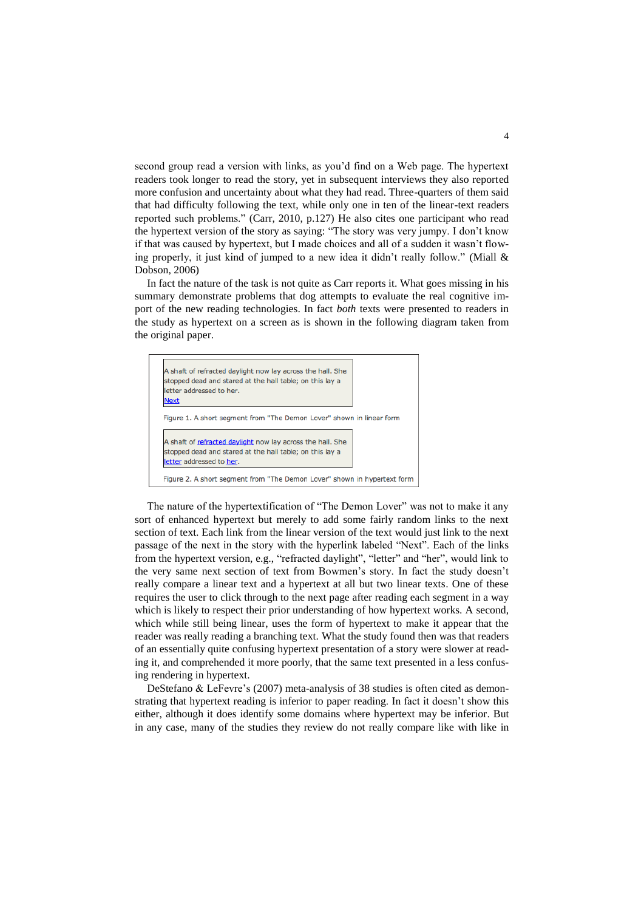second group read a version with links, as you'd find on a Web page. The hypertext readers took longer to read the story, yet in subsequent interviews they also reported more confusion and uncertainty about what they had read. Three-quarters of them said that had difficulty following the text, while only one in ten of the linear-text readers reported such problems." (Carr, 2010, p.127) He also cites one participant who read the hypertext version of the story as saying: "The story was very jumpy. I don't know if that was caused by hypertext, but I made choices and all of a sudden it wasn't flowing properly, it just kind of jumped to a new idea it didn't really follow." (Miall & Dobson, 2006)

In fact the nature of the task is not quite as Carr reports it. What goes missing in his summary demonstrate problems that dog attempts to evaluate the real cognitive import of the new reading technologies. In fact *both* texts were presented to readers in the study as hypertext on a screen as is shown in the following diagram taken from the original paper.



The nature of the hypertextification of "The Demon Lover" was not to make it any sort of enhanced hypertext but merely to add some fairly random links to the next section of text. Each link from the linear version of the text would just link to the next passage of the next in the story with the hyperlink labeled "Next". Each of the links from the hypertext version, e.g., "refracted daylight", "letter" and "her", would link to the very same next section of text from Bowmen's story. In fact the study doesn't really compare a linear text and a hypertext at all but two linear texts. One of these requires the user to click through to the next page after reading each segment in a way which is likely to respect their prior understanding of how hypertext works. A second, which while still being linear, uses the form of hypertext to make it appear that the reader was really reading a branching text. What the study found then was that readers of an essentially quite confusing hypertext presentation of a story were slower at reading it, and comprehended it more poorly, that the same text presented in a less confusing rendering in hypertext.

DeStefano & LeFevre's (2007) meta-analysis of 38 studies is often cited as demonstrating that hypertext reading is inferior to paper reading. In fact it doesn't show this either, although it does identify some domains where hypertext may be inferior. But in any case, many of the studies they review do not really compare like with like in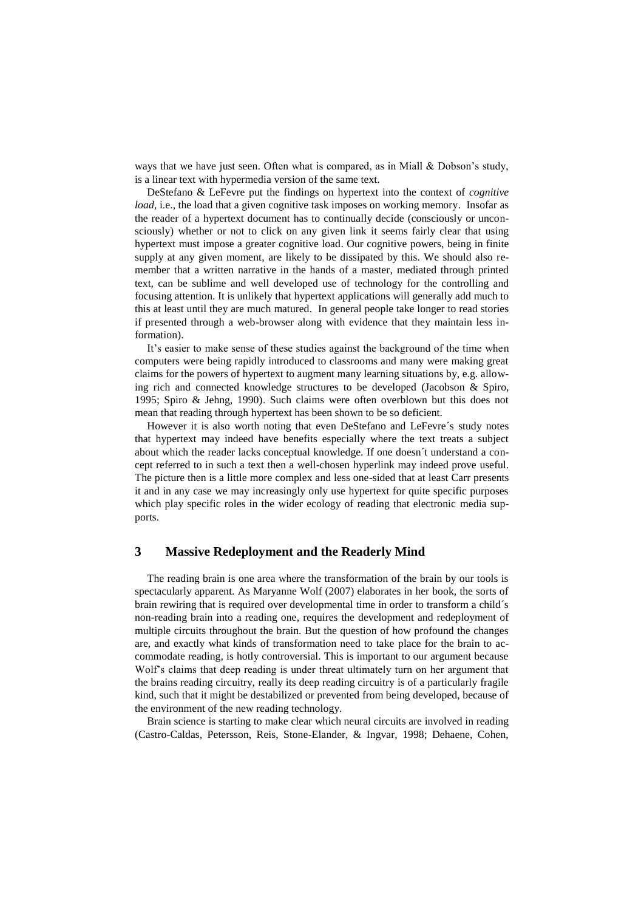ways that we have just seen. Often what is compared, as in Miall & Dobson's study, is a linear text with hypermedia version of the same text.

DeStefano & LeFevre put the findings on hypertext into the context of *cognitive load,* i.e., the load that a given cognitive task imposes on working memory*.* Insofar as the reader of a hypertext document has to continually decide (consciously or unconsciously) whether or not to click on any given link it seems fairly clear that using hypertext must impose a greater cognitive load. Our cognitive powers, being in finite supply at any given moment, are likely to be dissipated by this. We should also remember that a written narrative in the hands of a master, mediated through printed text, can be sublime and well developed use of technology for the controlling and focusing attention. It is unlikely that hypertext applications will generally add much to this at least until they are much matured. In general people take longer to read stories if presented through a web-browser along with evidence that they maintain less information).

It's easier to make sense of these studies against the background of the time when computers were being rapidly introduced to classrooms and many were making great claims for the powers of hypertext to augment many learning situations by, e.g. allowing rich and connected knowledge structures to be developed (Jacobson & Spiro, 1995; Spiro & Jehng, 1990). Such claims were often overblown but this does not mean that reading through hypertext has been shown to be so deficient.

However it is also worth noting that even DeStefano and LeFevre´s study notes that hypertext may indeed have benefits especially where the text treats a subject about which the reader lacks conceptual knowledge. If one doesn´t understand a concept referred to in such a text then a well-chosen hyperlink may indeed prove useful. The picture then is a little more complex and less one-sided that at least Carr presents it and in any case we may increasingly only use hypertext for quite specific purposes which play specific roles in the wider ecology of reading that electronic media supports.

#### **3 Massive Redeployment and the Readerly Mind**

The reading brain is one area where the transformation of the brain by our tools is spectacularly apparent. As Maryanne Wolf (2007) elaborates in her book, the sorts of brain rewiring that is required over developmental time in order to transform a child´s non-reading brain into a reading one, requires the development and redeployment of multiple circuits throughout the brain. But the question of how profound the changes are, and exactly what kinds of transformation need to take place for the brain to accommodate reading, is hotly controversial. This is important to our argument because Wolf's claims that deep reading is under threat ultimately turn on her argument that the brains reading circuitry, really its deep reading circuitry is of a particularly fragile kind, such that it might be destabilized or prevented from being developed, because of the environment of the new reading technology.

Brain science is starting to make clear which neural circuits are involved in reading (Castro-Caldas, Petersson, Reis, Stone-Elander, & Ingvar, 1998; Dehaene, Cohen,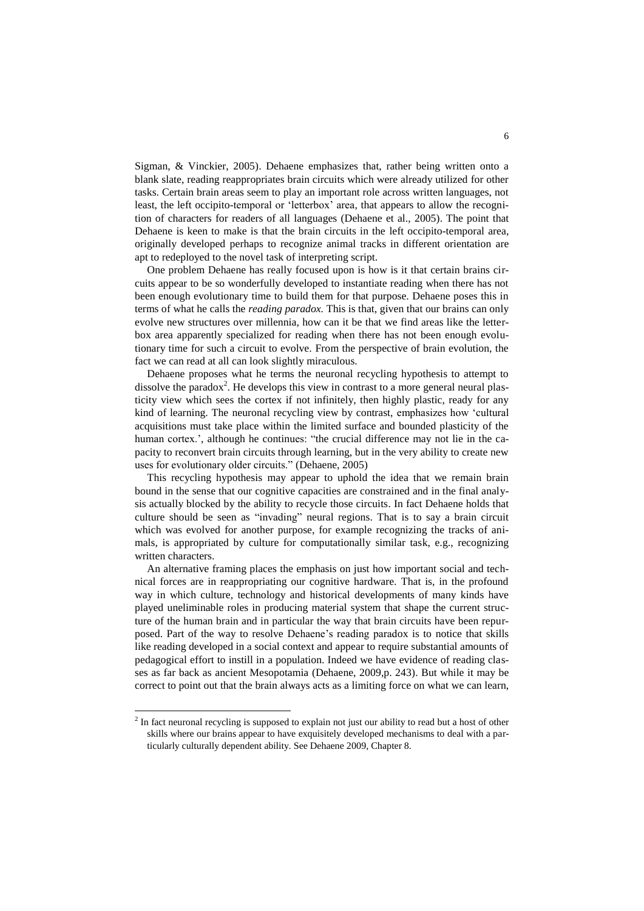Sigman, & Vinckier, 2005). Dehaene emphasizes that, rather being written onto a blank slate, reading reappropriates brain circuits which were already utilized for other tasks. Certain brain areas seem to play an important role across written languages, not least, the left occipito-temporal or 'letterbox' area, that appears to allow the recognition of characters for readers of all languages (Dehaene et al., 2005). The point that Dehaene is keen to make is that the brain circuits in the left occipito-temporal area, originally developed perhaps to recognize animal tracks in different orientation are apt to redeployed to the novel task of interpreting script.

One problem Dehaene has really focused upon is how is it that certain brains circuits appear to be so wonderfully developed to instantiate reading when there has not been enough evolutionary time to build them for that purpose. Dehaene poses this in terms of what he calls the *reading paradox.* This is that, given that our brains can only evolve new structures over millennia, how can it be that we find areas like the letterbox area apparently specialized for reading when there has not been enough evolutionary time for such a circuit to evolve. From the perspective of brain evolution, the fact we can read at all can look slightly miraculous.

Dehaene proposes what he terms the neuronal recycling hypothesis to attempt to dissolve the paradox<sup>2</sup>. He develops this view in contrast to a more general neural plasticity view which sees the cortex if not infinitely, then highly plastic, ready for any kind of learning. The neuronal recycling view by contrast, emphasizes how 'cultural acquisitions must take place within the limited surface and bounded plasticity of the human cortex.', although he continues: "the crucial difference may not lie in the capacity to reconvert brain circuits through learning, but in the very ability to create new uses for evolutionary older circuits." (Dehaene, 2005)

This recycling hypothesis may appear to uphold the idea that we remain brain bound in the sense that our cognitive capacities are constrained and in the final analysis actually blocked by the ability to recycle those circuits. In fact Dehaene holds that culture should be seen as "invading" neural regions. That is to say a brain circuit which was evolved for another purpose, for example recognizing the tracks of animals, is appropriated by culture for computationally similar task, e.g., recognizing written characters.

An alternative framing places the emphasis on just how important social and technical forces are in reappropriating our cognitive hardware. That is, in the profound way in which culture, technology and historical developments of many kinds have played uneliminable roles in producing material system that shape the current structure of the human brain and in particular the way that brain circuits have been repurposed. Part of the way to resolve Dehaene's reading paradox is to notice that skills like reading developed in a social context and appear to require substantial amounts of pedagogical effort to instill in a population. Indeed we have evidence of reading classes as far back as ancient Mesopotamia (Dehaene, 2009,p. 243). But while it may be correct to point out that the brain always acts as a limiting force on what we can learn,

 $2$  In fact neuronal recycling is supposed to explain not just our ability to read but a host of other skills where our brains appear to have exquisitely developed mechanisms to deal with a particularly culturally dependent ability. See Dehaene 2009, Chapter 8.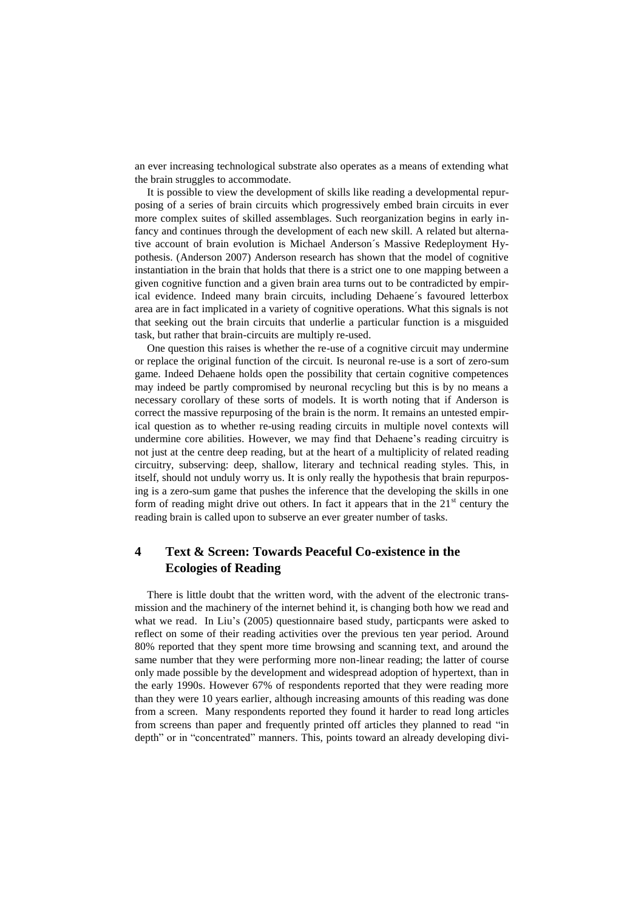an ever increasing technological substrate also operates as a means of extending what the brain struggles to accommodate.

It is possible to view the development of skills like reading a developmental repurposing of a series of brain circuits which progressively embed brain circuits in ever more complex suites of skilled assemblages. Such reorganization begins in early infancy and continues through the development of each new skill. A related but alternative account of brain evolution is Michael Anderson´s Massive Redeployment Hypothesis. (Anderson 2007) Anderson research has shown that the model of cognitive instantiation in the brain that holds that there is a strict one to one mapping between a given cognitive function and a given brain area turns out to be contradicted by empirical evidence. Indeed many brain circuits, including Dehaene´s favoured letterbox area are in fact implicated in a variety of cognitive operations. What this signals is not that seeking out the brain circuits that underlie a particular function is a misguided task, but rather that brain-circuits are multiply re-used.

One question this raises is whether the re-use of a cognitive circuit may undermine or replace the original function of the circuit. Is neuronal re-use is a sort of zero-sum game. Indeed Dehaene holds open the possibility that certain cognitive competences may indeed be partly compromised by neuronal recycling but this is by no means a necessary corollary of these sorts of models. It is worth noting that if Anderson is correct the massive repurposing of the brain is the norm. It remains an untested empirical question as to whether re-using reading circuits in multiple novel contexts will undermine core abilities. However, we may find that Dehaene's reading circuitry is not just at the centre deep reading, but at the heart of a multiplicity of related reading circuitry, subserving: deep, shallow, literary and technical reading styles. This, in itself, should not unduly worry us. It is only really the hypothesis that brain repurposing is a zero-sum game that pushes the inference that the developing the skills in one form of reading might drive out others. In fact it appears that in the  $21<sup>st</sup>$  century the reading brain is called upon to subserve an ever greater number of tasks.

# **4 Text & Screen: Towards Peaceful Co-existence in the Ecologies of Reading**

There is little doubt that the written word, with the advent of the electronic transmission and the machinery of the internet behind it, is changing both how we read and what we read. In Liu's (2005) questionnaire based study, particpants were asked to reflect on some of their reading activities over the previous ten year period. Around 80% reported that they spent more time browsing and scanning text, and around the same number that they were performing more non-linear reading; the latter of course only made possible by the development and widespread adoption of hypertext, than in the early 1990s. However 67% of respondents reported that they were reading more than they were 10 years earlier, although increasing amounts of this reading was done from a screen. Many respondents reported they found it harder to read long articles from screens than paper and frequently printed off articles they planned to read "in depth" or in "concentrated" manners. This, points toward an already developing divi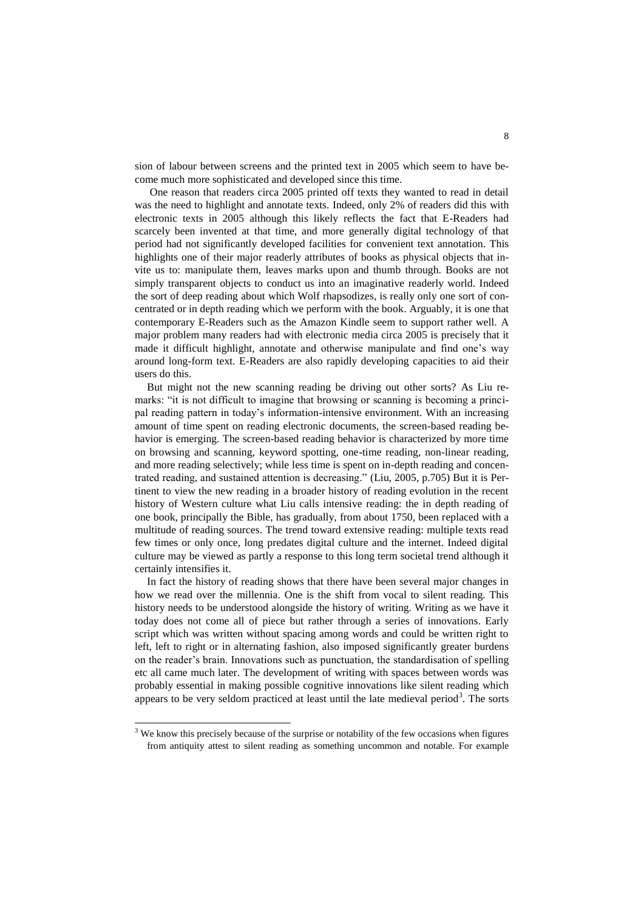sion of labour between screens and the printed text in 2005 which seem to have become much more sophisticated and developed since this time.

One reason that readers circa 2005 printed off texts they wanted to read in detail was the need to highlight and annotate texts. Indeed, only 2% of readers did this with electronic texts in 2005 although this likely reflects the fact that E-Readers had scarcely been invented at that time, and more generally digital technology of that period had not significantly developed facilities for convenient text annotation. This highlights one of their major readerly attributes of books as physical objects that invite us to: manipulate them, leaves marks upon and thumb through. Books are not simply transparent objects to conduct us into an imaginative readerly world. Indeed the sort of deep reading about which Wolf rhapsodizes, is really only one sort of concentrated or in depth reading which we perform with the book. Arguably, it is one that contemporary E-Readers such as the Amazon Kindle seem to support rather well. A major problem many readers had with electronic media circa 2005 is precisely that it made it difficult highlight, annotate and otherwise manipulate and find one's way around long-form text. E-Readers are also rapidly developing capacities to aid their users do this.

But might not the new scanning reading be driving out other sorts? As Liu remarks: "it is not difficult to imagine that browsing or scanning is becoming a principal reading pattern in today's information-intensive environment. With an increasing amount of time spent on reading electronic documents, the screen-based reading behavior is emerging. The screen-based reading behavior is characterized by more time on browsing and scanning, keyword spotting, one-time reading, non-linear reading, and more reading selectively; while less time is spent on in-depth reading and concentrated reading, and sustained attention is decreasing." (Liu, 2005, p.705) But it is Pertinent to view the new reading in a broader history of reading evolution in the recent history of Western culture what Liu calls intensive reading: the in depth reading of one book, principally the Bible, has gradually, from about 1750, been replaced with a multitude of reading sources. The trend toward extensive reading: multiple texts read few times or only once, long predates digital culture and the internet. Indeed digital culture may be viewed as partly a response to this long term societal trend although it certainly intensifies it.

In fact the history of reading shows that there have been several major changes in how we read over the millennia. One is the shift from vocal to silent reading. This history needs to be understood alongside the history of writing. Writing as we have it today does not come all of piece but rather through a series of innovations. Early script which was written without spacing among words and could be written right to left, left to right or in alternating fashion, also imposed significantly greater burdens on the reader's brain. Innovations such as punctuation, the standardisation of spelling etc all came much later. The development of writing with spaces between words was probably essential in making possible cognitive innovations like silent reading which appears to be very seldom practiced at least until the late medieval period<sup>3</sup>. The sorts

 $\overline{a}$ 

<sup>&</sup>lt;sup>3</sup> We know this precisely because of the surprise or notability of the few occasions when figures from antiquity attest to silent reading as something uncommon and notable. For example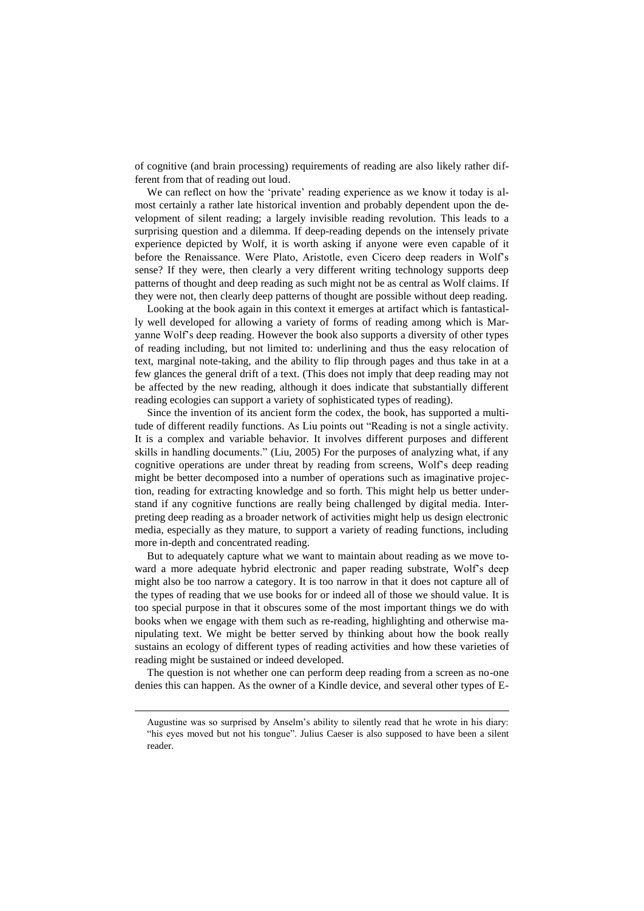of cognitive (and brain processing) requirements of reading are also likely rather different from that of reading out loud.

We can reflect on how the 'private' reading experience as we know it today is almost certainly a rather late historical invention and probably dependent upon the development of silent reading; a largely invisible reading revolution. This leads to a surprising question and a dilemma. If deep-reading depends on the intensely private experience depicted by Wolf, it is worth asking if anyone were even capable of it before the Renaissance. Were Plato, Aristotle, even Cicero deep readers in Wolf's sense? If they were, then clearly a very different writing technology supports deep patterns of thought and deep reading as such might not be as central as Wolf claims. If they were not, then clearly deep patterns of thought are possible without deep reading.

Looking at the book again in this context it emerges at artifact which is fantastically well developed for allowing a variety of forms of reading among which is Maryanne Wolf's deep reading. However the book also supports a diversity of other types of reading including, but not limited to: underlining and thus the easy relocation of text, marginal note-taking, and the ability to flip through pages and thus take in at a few glances the general drift of a text. (This does not imply that deep reading may not be affected by the new reading, although it does indicate that substantially different reading ecologies can support a variety of sophisticated types of reading).

Since the invention of its ancient form the codex, the book, has supported a multitude of different readily functions. As Liu points out "Reading is not a single activity. It is a complex and variable behavior. It involves different purposes and different skills in handling documents." (Liu, 2005) For the purposes of analyzing what, if any cognitive operations are under threat by reading from screens, Wolf's deep reading might be better decomposed into a number of operations such as imaginative projection, reading for extracting knowledge and so forth. This might help us better understand if any cognitive functions are really being challenged by digital media. Interpreting deep reading as a broader network of activities might help us design electronic media, especially as they mature, to support a variety of reading functions, including more in-depth and concentrated reading.

But to adequately capture what we want to maintain about reading as we move toward a more adequate hybrid electronic and paper reading substrate, Wolf's deep might also be too narrow a category. It is too narrow in that it does not capture all of the types of reading that we use books for or indeed all of those we should value. It is too special purpose in that it obscures some of the most important things we do with books when we engage with them such as re-reading, highlighting and otherwise manipulating text. We might be better served by thinking about how the book really sustains an ecology of different types of reading activities and how these varieties of reading might be sustained or indeed developed.

The question is not whether one can perform deep reading from a screen as no-one denies this can happen. As the owner of a Kindle device, and several other types of E-

Augustine was so surprised by Anselm's ability to silently read that he wrote in his diary: "his eyes moved but not his tongue". Julius Caeser is also supposed to have been a silent reader.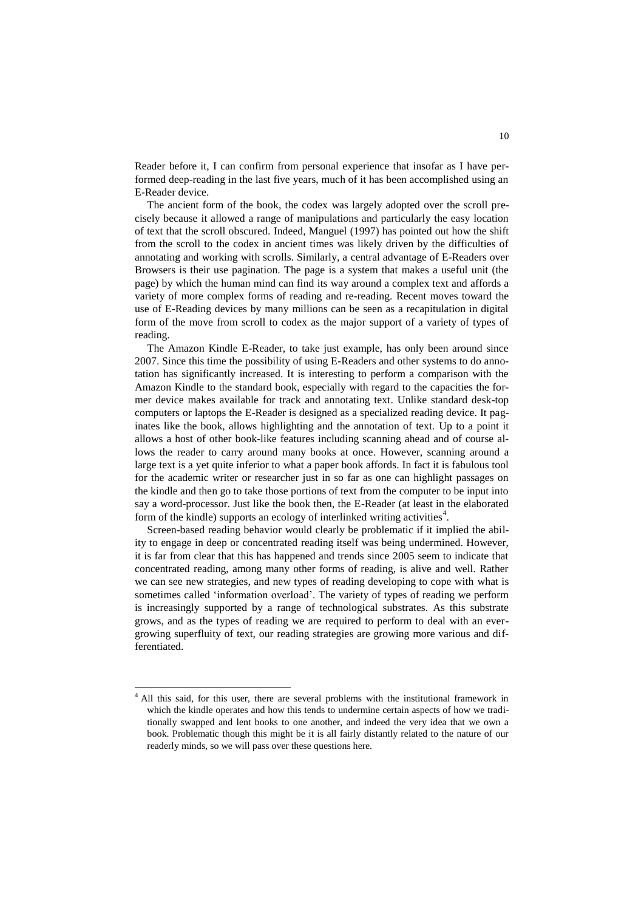Reader before it, I can confirm from personal experience that insofar as I have performed deep-reading in the last five years, much of it has been accomplished using an E-Reader device.

The ancient form of the book, the codex was largely adopted over the scroll precisely because it allowed a range of manipulations and particularly the easy location of text that the scroll obscured. Indeed, Manguel (1997) has pointed out how the shift from the scroll to the codex in ancient times was likely driven by the difficulties of annotating and working with scrolls. Similarly, a central advantage of E-Readers over Browsers is their use pagination. The page is a system that makes a useful unit (the page) by which the human mind can find its way around a complex text and affords a variety of more complex forms of reading and re-reading. Recent moves toward the use of E-Reading devices by many millions can be seen as a recapitulation in digital form of the move from scroll to codex as the major support of a variety of types of reading.

The Amazon Kindle E-Reader, to take just example, has only been around since 2007. Since this time the possibility of using E-Readers and other systems to do annotation has significantly increased. It is interesting to perform a comparison with the Amazon Kindle to the standard book, especially with regard to the capacities the former device makes available for track and annotating text. Unlike standard desk-top computers or laptops the E-Reader is designed as a specialized reading device. It paginates like the book, allows highlighting and the annotation of text. Up to a point it allows a host of other book-like features including scanning ahead and of course allows the reader to carry around many books at once. However, scanning around a large text is a yet quite inferior to what a paper book affords. In fact it is fabulous tool for the academic writer or researcher just in so far as one can highlight passages on the kindle and then go to take those portions of text from the computer to be input into say a word-processor. Just like the book then, the E-Reader (at least in the elaborated form of the kindle) supports an ecology of interlinked writing activities<sup>4</sup>.

Screen-based reading behavior would clearly be problematic if it implied the ability to engage in deep or concentrated reading itself was being undermined. However, it is far from clear that this has happened and trends since 2005 seem to indicate that concentrated reading, among many other forms of reading, is alive and well. Rather we can see new strategies, and new types of reading developing to cope with what is sometimes called 'information overload'. The variety of types of reading we perform is increasingly supported by a range of technological substrates. As this substrate grows, and as the types of reading we are required to perform to deal with an evergrowing superfluity of text, our reading strategies are growing more various and differentiated.

<sup>&</sup>lt;sup>4</sup> All this said, for this user, there are several problems with the institutional framework in which the kindle operates and how this tends to undermine certain aspects of how we traditionally swapped and lent books to one another, and indeed the very idea that we own a book. Problematic though this might be it is all fairly distantly related to the nature of our readerly minds, so we will pass over these questions here.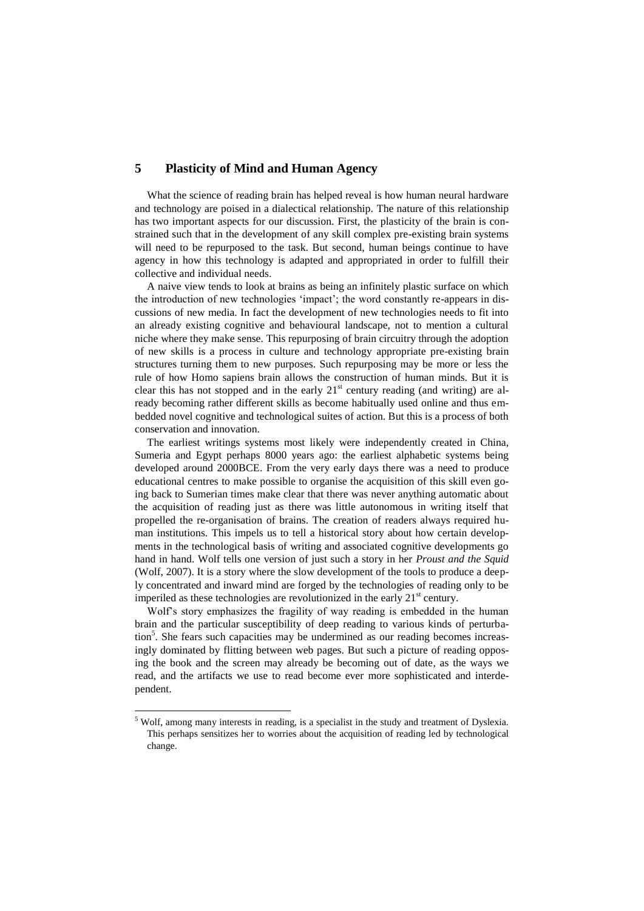## **5 Plasticity of Mind and Human Agency**

What the science of reading brain has helped reveal is how human neural hardware and technology are poised in a dialectical relationship. The nature of this relationship has two important aspects for our discussion. First, the plasticity of the brain is constrained such that in the development of any skill complex pre-existing brain systems will need to be repurposed to the task. But second, human beings continue to have agency in how this technology is adapted and appropriated in order to fulfill their collective and individual needs.

A naive view tends to look at brains as being an infinitely plastic surface on which the introduction of new technologies 'impact'; the word constantly re-appears in discussions of new media. In fact the development of new technologies needs to fit into an already existing cognitive and behavioural landscape, not to mention a cultural niche where they make sense. This repurposing of brain circuitry through the adoption of new skills is a process in culture and technology appropriate pre-existing brain structures turning them to new purposes. Such repurposing may be more or less the rule of how Homo sapiens brain allows the construction of human minds. But it is clear this has not stopped and in the early  $21<sup>st</sup>$  century reading (and writing) are already becoming rather different skills as become habitually used online and thus embedded novel cognitive and technological suites of action. But this is a process of both conservation and innovation.

The earliest writings systems most likely were independently created in China, Sumeria and Egypt perhaps 8000 years ago: the earliest alphabetic systems being developed around 2000BCE. From the very early days there was a need to produce educational centres to make possible to organise the acquisition of this skill even going back to Sumerian times make clear that there was never anything automatic about the acquisition of reading just as there was little autonomous in writing itself that propelled the re-organisation of brains. The creation of readers always required human institutions. This impels us to tell a historical story about how certain developments in the technological basis of writing and associated cognitive developments go hand in hand. Wolf tells one version of just such a story in her *Proust and the Squid* (Wolf, 2007). It is a story where the slow development of the tools to produce a deeply concentrated and inward mind are forged by the technologies of reading only to be imperiled as these technologies are revolutionized in the early  $21<sup>st</sup>$  century.

Wolf's story emphasizes the fragility of way reading is embedded in the human brain and the particular susceptibility of deep reading to various kinds of perturbation<sup>5</sup>. She fears such capacities may be undermined as our reading becomes increasingly dominated by flitting between web pages. But such a picture of reading opposing the book and the screen may already be becoming out of date, as the ways we read, and the artifacts we use to read become ever more sophisticated and interdependent.

<sup>5</sup> Wolf, among many interests in reading, is a specialist in the study and treatment of Dyslexia. This perhaps sensitizes her to worries about the acquisition of reading led by technological change.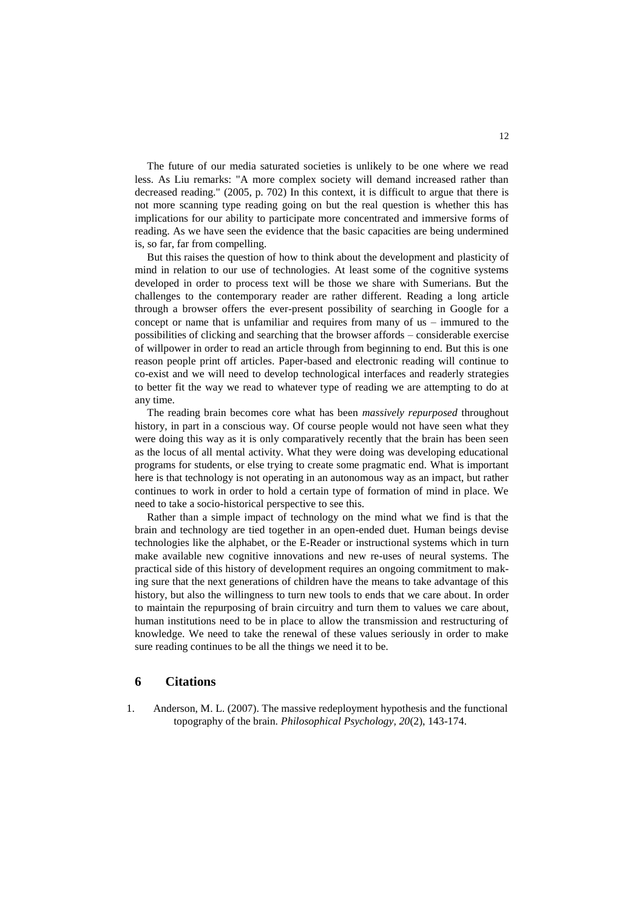The future of our media saturated societies is unlikely to be one where we read less. As Liu remarks: "A more complex society will demand increased rather than decreased reading." (2005, p. 702) In this context, it is difficult to argue that there is not more scanning type reading going on but the real question is whether this has implications for our ability to participate more concentrated and immersive forms of reading. As we have seen the evidence that the basic capacities are being undermined is, so far, far from compelling.

But this raises the question of how to think about the development and plasticity of mind in relation to our use of technologies. At least some of the cognitive systems developed in order to process text will be those we share with Sumerians. But the challenges to the contemporary reader are rather different. Reading a long article through a browser offers the ever-present possibility of searching in Google for a concept or name that is unfamiliar and requires from many of us – immured to the possibilities of clicking and searching that the browser affords – considerable exercise of willpower in order to read an article through from beginning to end. But this is one reason people print off articles. Paper-based and electronic reading will continue to co-exist and we will need to develop technological interfaces and readerly strategies to better fit the way we read to whatever type of reading we are attempting to do at any time.

The reading brain becomes core what has been *massively repurposed* throughout history, in part in a conscious way. Of course people would not have seen what they were doing this way as it is only comparatively recently that the brain has been seen as the locus of all mental activity. What they were doing was developing educational programs for students, or else trying to create some pragmatic end. What is important here is that technology is not operating in an autonomous way as an impact, but rather continues to work in order to hold a certain type of formation of mind in place. We need to take a socio-historical perspective to see this.

Rather than a simple impact of technology on the mind what we find is that the brain and technology are tied together in an open-ended duet. Human beings devise technologies like the alphabet, or the E-Reader or instructional systems which in turn make available new cognitive innovations and new re-uses of neural systems. The practical side of this history of development requires an ongoing commitment to making sure that the next generations of children have the means to take advantage of this history, but also the willingness to turn new tools to ends that we care about. In order to maintain the repurposing of brain circuitry and turn them to values we care about, human institutions need to be in place to allow the transmission and restructuring of knowledge. We need to take the renewal of these values seriously in order to make sure reading continues to be all the things we need it to be.

### **6 Citations**

1. Anderson, M. L. (2007). The massive redeployment hypothesis and the functional topography of the brain. *Philosophical Psychology, 20*(2), 143-174.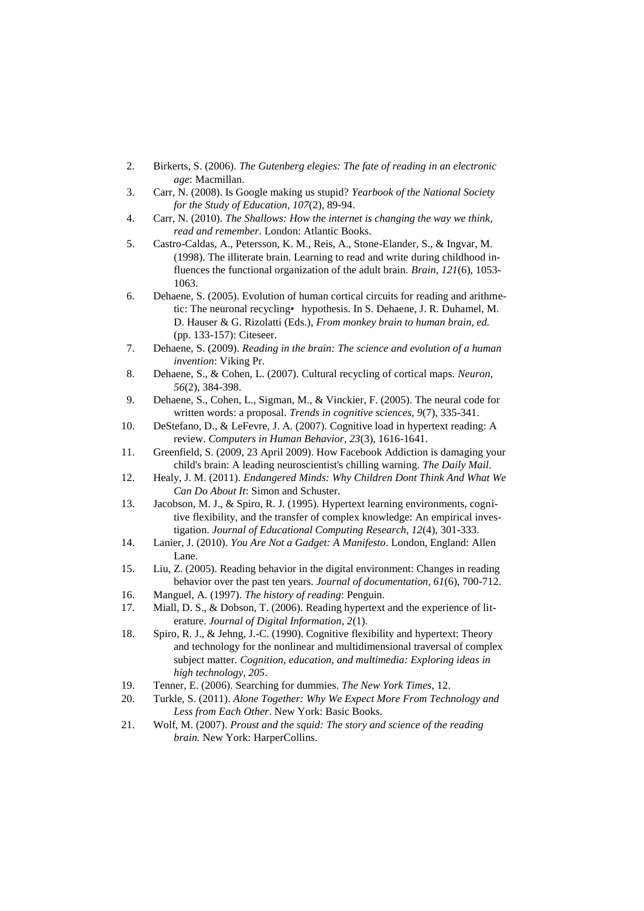- 2. Birkerts, S. (2006). *The Gutenberg elegies: The fate of reading in an electronic age*: Macmillan.
- 3. Carr, N. (2008). Is Google making us stupid? *Yearbook of the National Society for the Study of Education, 107*(2), 89-94.
- 4. Carr, N. (2010). *The Shallows: How the internet is changing the way we think, read and remember*. London: Atlantic Books.
- 5. Castro-Caldas, A., Petersson, K. M., Reis, A., Stone-Elander, S., & Ingvar, M. (1998). The illiterate brain. Learning to read and write during childhood influences the functional organization of the adult brain. *Brain, 121*(6), 1053- 1063.
- 6. Dehaene, S. (2005). Evolution of human cortical circuits for reading and arithmetic: The neuronal recycling• hypothesis. In S. Dehaene, J. R. Duhamel, M. D. Hauser & G. Rizolatti (Eds.), *From monkey brain to human brain, ed.* (pp. 133-157): Citeseer.
- 7. Dehaene, S. (2009). *Reading in the brain: The science and evolution of a human invention*: Viking Pr.
- 8. Dehaene, S., & Cohen, L. (2007). Cultural recycling of cortical maps. *Neuron, 56*(2), 384-398.
- 9. Dehaene, S., Cohen, L., Sigman, M., & Vinckier, F. (2005). The neural code for written words: a proposal. *Trends in cognitive sciences, 9*(7), 335-341.
- 10. DeStefano, D., & LeFevre, J. A. (2007). Cognitive load in hypertext reading: A review. *Computers in Human Behavior, 23*(3), 1616-1641.
- 11. Greenfield, S. (2009, 23 April 2009). How Facebook Addiction is damaging your child's brain: A leading neuroscientist's chilling warning. *The Daily Mail*.
- 12. Healy, J. M. (2011). *Endangered Minds: Why Children Dont Think And What We Can Do About It*: Simon and Schuster.
- 13. Jacobson, M. J., & Spiro, R. J. (1995). Hypertext learning environments, cognitive flexibility, and the transfer of complex knowledge: An empirical investigation. *Journal of Educational Computing Research, 12*(4), 301-333.
- 14. Lanier, J. (2010). *You Are Not a Gadget: A Manifesto*. London, England: Allen Lane.
- 15. Liu, Z. (2005). Reading behavior in the digital environment: Changes in reading behavior over the past ten years. *Journal of documentation, 61*(6), 700-712.
- 16. Manguel, A. (1997). *The history of reading*: Penguin.
- 17. Miall, D. S., & Dobson, T. (2006). Reading hypertext and the experience of literature. *Journal of Digital Information, 2*(1).
- 18. Spiro, R. J., & Jehng, J.-C. (1990). Cognitive flexibility and hypertext: Theory and technology for the nonlinear and multidimensional traversal of complex subject matter. *Cognition, education, and multimedia: Exploring ideas in high technology, 205*.
- 19. Tenner, E. (2006). Searching for dummies. *The New York Times*, 12.
- 20. Turkle, S. (2011). *Alone Together: Why We Expect More From Technology and Less from Each Other*. New York: Basic Books.
- 21. Wolf, M. (2007). *Proust and the squid: The story and science of the reading brain.* New York: HarperCollins.